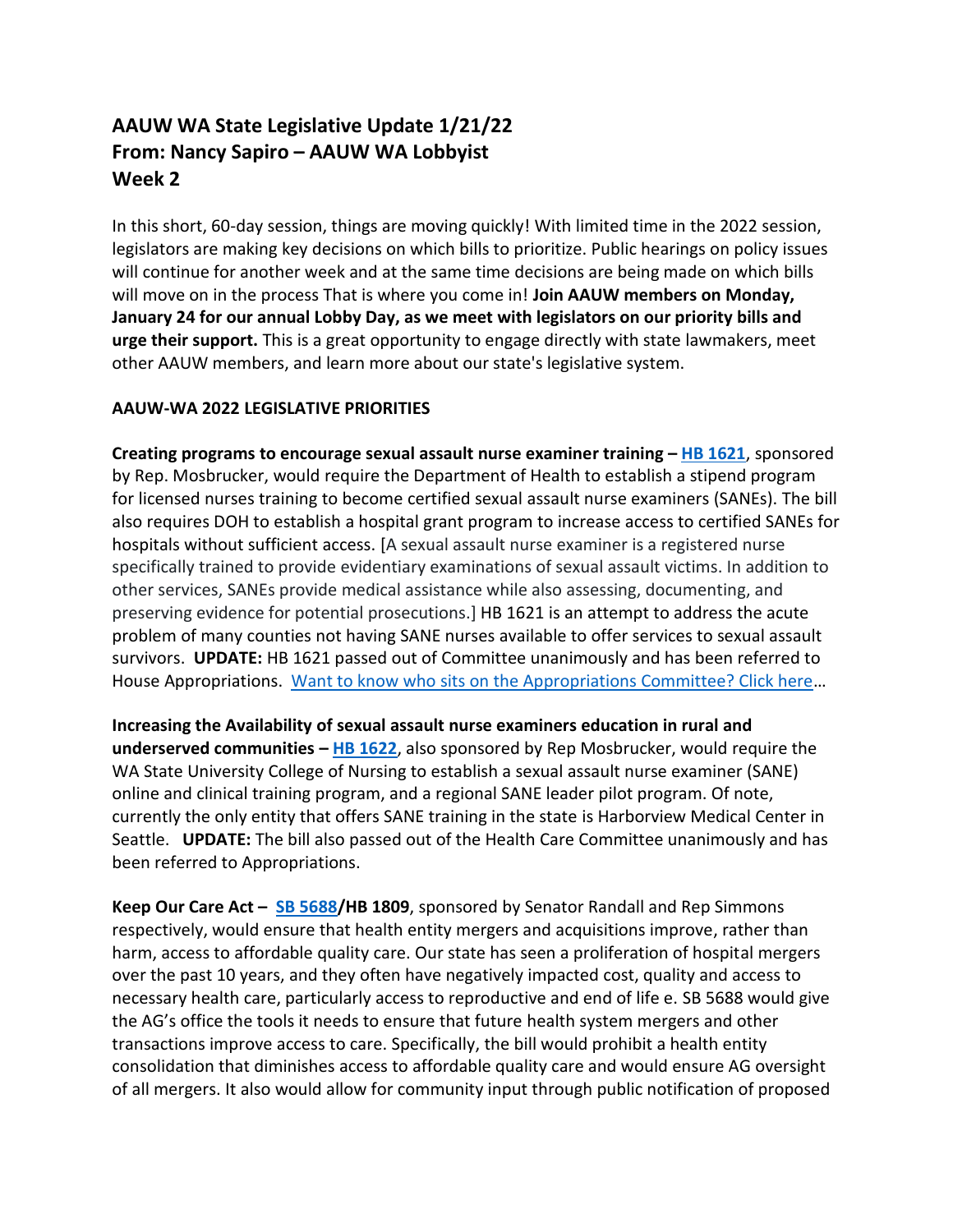## **AAUW WA State Legislative Update 1/21/22 From: Nancy Sapiro – AAUW WA Lobbyist Week 2**

In this short, 60-day session, things are moving quickly! With limited time in the 2022 session, legislators are making key decisions on which bills to prioritize. Public hearings on policy issues will continue for another week and at the same time decisions are being made on which bills will move on in the process That is where you come in! **Join AAUW members on Monday, January 24 for our annual Lobby Day, as we meet with legislators on our priority bills and urge their support.** This is a great opportunity to engage directly with state lawmakers, meet other AAUW members, and learn more about our state's legislative system.

## **AAUW-WA 2022 LEGISLATIVE PRIORITIES**

**Creating programs to encourage sexual assault nurse examiner training – [HB 1621](https://app.leg.wa.gov/billsummary?BillNumber=1621&Year=2021&Initiative=false)**, sponsored by Rep. Mosbrucker, would require the Department of Health to establish a stipend program for licensed nurses training to become certified sexual assault nurse examiners (SANEs). The bill also requires DOH to establish a hospital grant program to increase access to certified SANEs for hospitals without sufficient access. [A sexual assault nurse examiner is a registered nurse specifically trained to provide evidentiary examinations of sexual assault victims. In addition to other services, SANEs provide medical assistance while also assessing, documenting, and preserving evidence for potential prosecutions.] HB 1621 is an attempt to address the acute problem of many counties not having SANE nurses available to offer services to sexual assault survivors. **UPDATE:** HB 1621 passed out of Committee unanimously and has been referred to House Appropriations. [Want to know who sits on the Appropriations Committee? Click here](https://leg.wa.gov/House/Committees/APP/Pages/MembersStaff.aspx)...

**Increasing the Availability of sexual assault nurse examiners education in rural and underserved communities – [HB 1622](https://app.leg.wa.gov/billsummary?BillNumber=1622&Initiative=false&Year=2021)**, also sponsored by Rep Mosbrucker, would require the WA State University College of Nursing to establish a sexual assault nurse examiner (SANE) online and clinical training program, and a regional SANE leader pilot program. Of note, currently the only entity that offers SANE training in the state is Harborview Medical Center in Seattle. **UPDATE:** The bill also passed out of the Health Care Committee unanimously and has been referred to Appropriations.

**Keep Our Care Act – [SB 5688/](https://app.leg.wa.gov/billsummary?BillNumber=5688&Chamber=Senate&Year=2021)HB 1809**, sponsored by Senator Randall and Rep Simmons respectively, would ensure that health entity mergers and acquisitions improve, rather than harm, access to affordable quality care. Our state has seen a proliferation of hospital mergers over the past 10 years, and they often have negatively impacted cost, quality and access to necessary health care, particularly access to reproductive and end of life e. SB 5688 would give the AG's office the tools it needs to ensure that future health system mergers and other transactions improve access to care. Specifically, the bill would prohibit a health entity consolidation that diminishes access to affordable quality care and would ensure AG oversight of all mergers. It also would allow for community input through public notification of proposed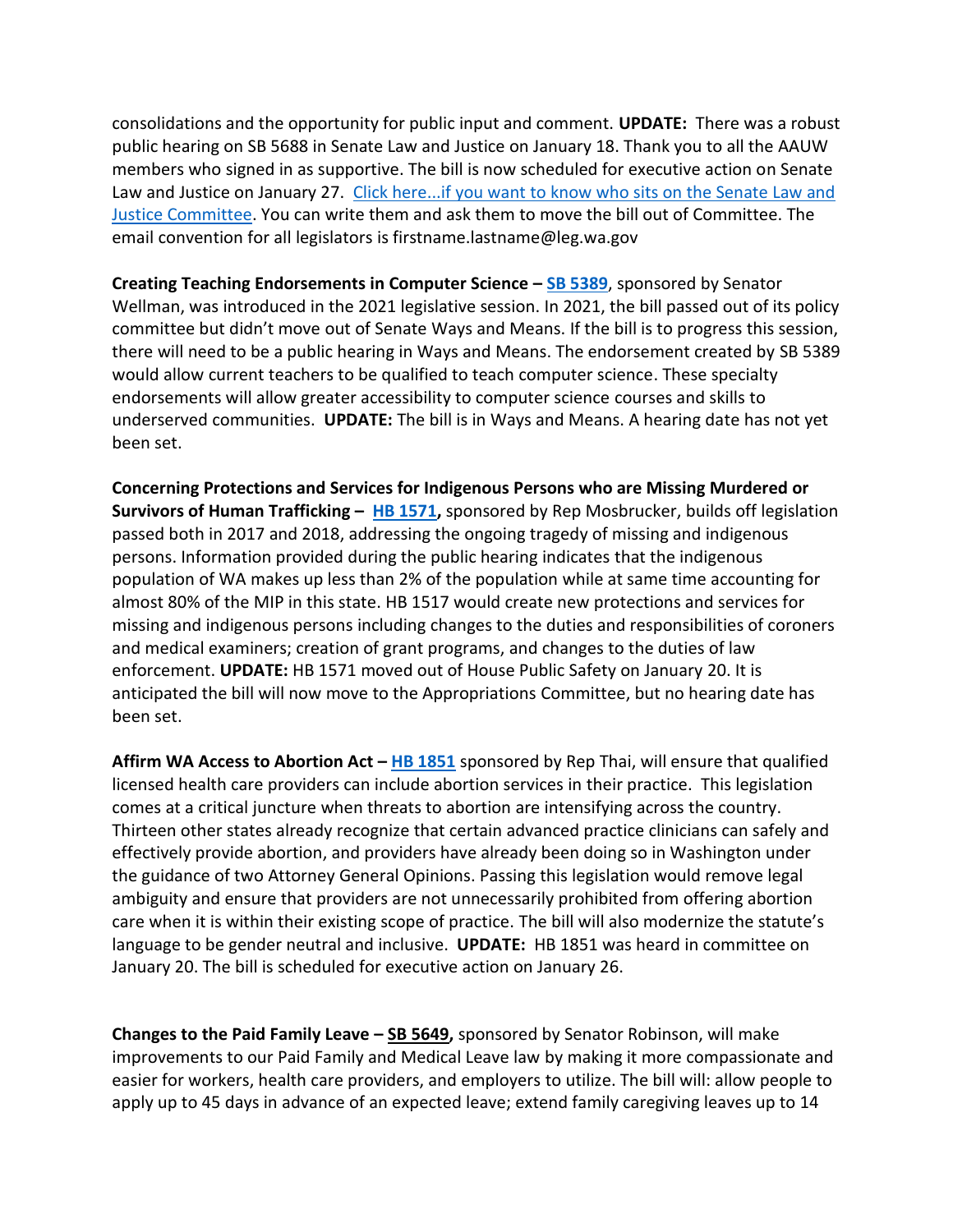consolidations and the opportunity for public input and comment. **UPDATE:** There was a robust public hearing on SB 5688 in Senate Law and Justice on January 18. Thank you to all the AAUW members who signed in as supportive. The bill is now scheduled for executive action on Senate Law and Justice on January 27. Click here...if you want to know who sits on the Senate Law and [Justice Committee.](https://leg.wa.gov/Senate/Committees/LAW/Pages/MembersStaff.aspx) You can write them and ask them to move the bill out of Committee. The email convention for all legislators is firstname.lastname@leg.wa.gov

**Creating Teaching Endorsements in Computer Science – [SB 5389](https://app.leg.wa.gov/billsummary?BillNumber=5389&Year=2021&Initiative=false)**, sponsored by Senator Wellman, was introduced in the 2021 legislative session. In 2021, the bill passed out of its policy committee but didn't move out of Senate Ways and Means. If the bill is to progress this session, there will need to be a public hearing in Ways and Means. The endorsement created by SB 5389 would allow current teachers to be qualified to teach computer science. These specialty endorsements will allow greater accessibility to computer science courses and skills to underserved communities. **UPDATE:** The bill is in Ways and Means. A hearing date has not yet been set.

**Concerning Protections and Services for Indigenous Persons who are Missing Murdered or Survivors of Human Trafficking – [HB 1571,](https://app.leg.wa.gov/billsummary?BillNumber=1571&Year=2021&Initiative=false)** sponsored by Rep Mosbrucker, builds off legislation passed both in 2017 and 2018, addressing the ongoing tragedy of missing and indigenous persons. Information provided during the public hearing indicates that the indigenous population of WA makes up less than 2% of the population while at same time accounting for almost 80% of the MIP in this state. HB 1517 would create new protections and services for missing and indigenous persons including changes to the duties and responsibilities of coroners and medical examiners; creation of grant programs, and changes to the duties of law enforcement. **UPDATE:** HB 1571 moved out of House Public Safety on January 20. It is anticipated the bill will now move to the Appropriations Committee, but no hearing date has been set.

**Affirm WA Access to Abortion Act – [HB 1851](https://app.leg.wa.gov/billsummary?BillNumber=1851&Initiative=false&Year=2021)** sponsored by Rep Thai, will ensure that qualified licensed health care providers can include abortion services in their practice. This legislation comes at a critical juncture when threats to abortion are intensifying across the country. Thirteen other states already recognize that certain advanced practice clinicians can safely and effectively provide abortion, and providers have already been doing so in Washington under the guidance of two Attorney General Opinions. Passing this legislation would remove legal ambiguity and ensure that providers are not unnecessarily prohibited from offering abortion care when it is within their existing scope of practice. The bill will also modernize the statute's language to be gender neutral and inclusive. **UPDATE:** HB 1851 was heard in committee on January 20. The bill is scheduled for executive action on January 26.

**Changes to the Paid Family Leave – [SB 5649,](https://app.leg.wa.gov/billsummary?BillNumber=5649&Year=2021&Initiative=false)** sponsored by Senator Robinson, will make improvements to our Paid Family and Medical Leave law by making it more compassionate and easier for workers, health care providers, and employers to utilize. The bill will: allow people to apply up to 45 days in advance of an expected leave; extend family caregiving leaves up to 14